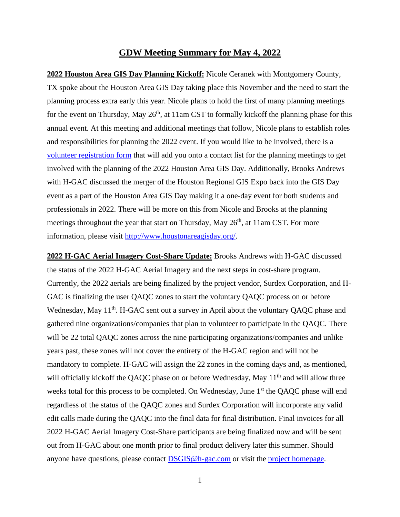## **GDW Meeting Summary for May 4, 2022**

**2022 Houston Area GIS Day Planning Kickoff:** Nicole Ceranek with Montgomery County, TX spoke about the Houston Area GIS Day taking place this November and the need to start the planning process extra early this year. Nicole plans to hold the first of many planning meetings for the event on Thursday, May  $26<sup>th</sup>$ , at 11am CST to formally kickoff the planning phase for this annual event. At this meeting and additional meetings that follow, Nicole plans to establish roles and responsibilities for planning the 2022 event. If you would like to be involved, there is a [volunteer registration form](https://docs.google.com/forms/d/e/1FAIpQLSeHJc7teYRniv7uT7sZLsrqTYrIDMu5C48I5UjgRcsIQmm-7A/viewform) that will add you onto a contact list for the planning meetings to get involved with the planning of the 2022 Houston Area GIS Day. Additionally, Brooks Andrews with H-GAC discussed the merger of the Houston Regional GIS Expo back into the GIS Day event as a part of the Houston Area GIS Day making it a one-day event for both students and professionals in 2022. There will be more on this from Nicole and Brooks at the planning meetings throughout the year that start on Thursday, May  $26<sup>th</sup>$ , at 11am CST. For more information, please visit [http://www.houstonareagisday.org/.](http://www.houstonareagisday.org/)

**2022 H-GAC Aerial Imagery Cost-Share Update:** Brooks Andrews with H-GAC discussed the status of the 2022 H-GAC Aerial Imagery and the next steps in cost-share program. Currently, the 2022 aerials are being finalized by the project vendor, Surdex Corporation, and H-GAC is finalizing the user QAQC zones to start the voluntary QAQC process on or before Wednesday, May 11<sup>th</sup>. H-GAC sent out a survey in April about the voluntary QAQC phase and gathered nine organizations/companies that plan to volunteer to participate in the QAQC. There will be 22 total QAQC zones across the nine participating organizations/companies and unlike years past, these zones will not cover the entirety of the H-GAC region and will not be mandatory to complete. H-GAC will assign the 22 zones in the coming days and, as mentioned, will officially kickoff the QAQC phase on or before Wednesday, May 11<sup>th</sup> and will allow three weeks total for this process to be completed. On Wednesday, June 1<sup>st</sup> the QAQC phase will end regardless of the status of the QAQC zones and Surdex Corporation will incorporate any valid edit calls made during the QAQC into the final data for final distribution. Final invoices for all 2022 H-GAC Aerial Imagery Cost-Share participants are being finalized now and will be sent out from H-GAC about one month prior to final product delivery later this summer. Should anyone have questions, please contact **DSGIS@h-gac.com** or visit the [project](https://www.h-gac.com/aerial-imagery-cost-share) [homepage.](https://www.h-gac.com/aerial-imagery-cost-share/)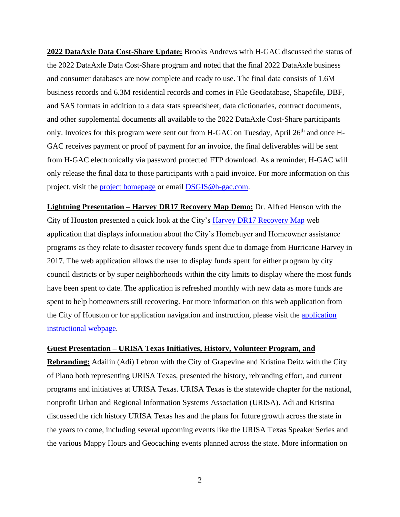**2022 DataAxle Data Cost-Share Update:** Brooks Andrews with H-GAC discussed the status of the 2022 DataAxle Data Cost-Share program and noted that the final 2022 DataAxle business and consumer databases are now complete and ready to use. The final data consists of 1.6M business records and 6.3M residential records and comes in File Geodatabase, Shapefile, DBF, and SAS formats in addition to a data stats spreadsheet, data dictionaries, contract documents, and other supplemental documents all available to the 2022 DataAxle Cost-Share participants only. Invoices for this program were sent out from H-GAC on Tuesday, April 26<sup>th</sup> and once H-GAC receives payment or proof of payment for an invoice, the final deliverables will be sent from H-GAC electronically via password protected FTP download. As a reminder, H-GAC will only release the final data to those participants with a paid invoice. For more information on this project, visit the [project homepage](mailto:project%20homepage) or email [DSGIS@h-gac.com.](mailto:DSGIS@h-gac.com)

**Lightning Presentation – Harvey DR17 Recovery Map Demo:** Dr. Alfred Henson with the City of Houston presented a quick look at the City's [Harvey DR17 Recovery Map](https://mycity.maps.arcgis.com/apps/webappviewer/index.html?id=43f450e78bdf403a85597ab84aff2c85) web application that displays information about the City's Homebuyer and Homeowner assistance programs as they relate to disaster recovery funds spent due to damage from Hurricane Harvey in 2017. The web application allows the user to display funds spent for either program by city council districts or by super neighborhoods within the city limits to display where the most funds have been spent to date. The application is refreshed monthly with new data as more funds are spent to help homeowners still recovering. For more information on this web application from the City of Houston or for application navigation and instruction, please visit the [application](https://storymaps.arcgis.com/stories/406c7046f0904397a2abe1690de36c12)  [instructional webpage.](https://storymaps.arcgis.com/stories/406c7046f0904397a2abe1690de36c12)

## **Guest Presentation – URISA Texas Initiatives, History, Volunteer Program, and**

**Rebranding:** Adailin (Adi) Lebron with the City of Grapevine and Kristina Deitz with the City of Plano both representing URISA Texas, presented the history, rebranding effort, and current programs and initiatives at URISA Texas. URISA Texas is the statewide chapter for the national, nonprofit Urban and Regional Information Systems Association (URISA). Adi and Kristina discussed the rich history URISA Texas has and the plans for future growth across the state in the years to come, including several upcoming events like the URISA Texas Speaker Series and the various Mappy Hours and Geocaching events planned across the state. More information on